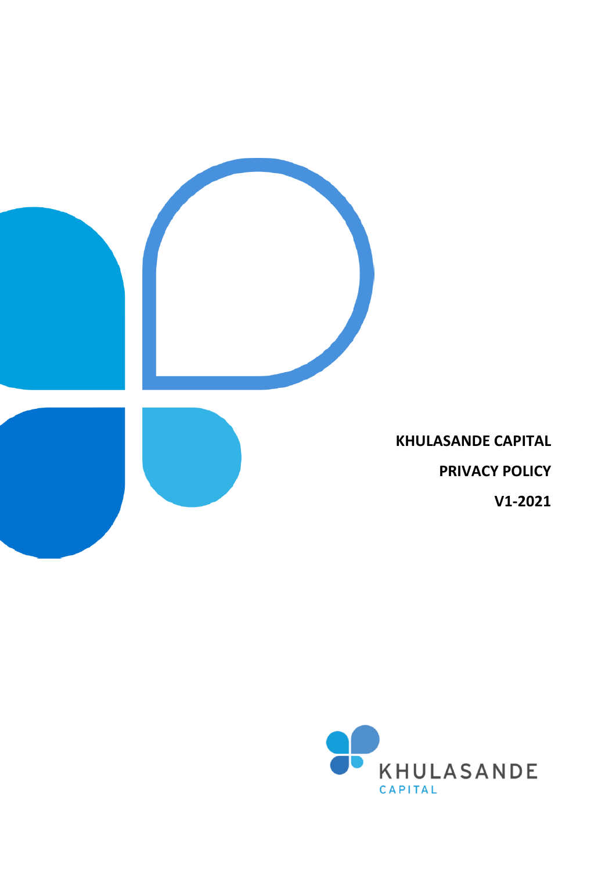

**KHULASANDE CAPITAL PRIVACY POLICY V1-2021**

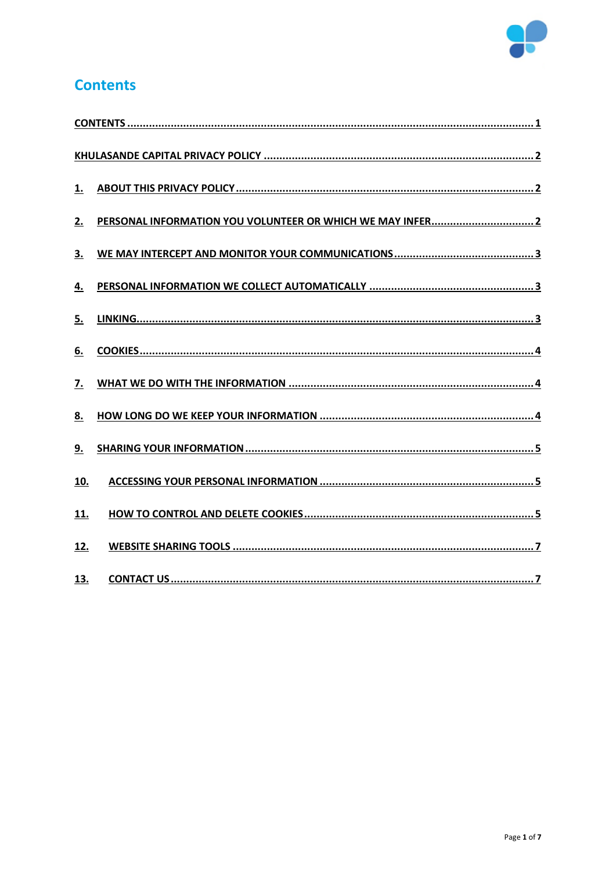

## <span id="page-1-0"></span>**Contents**

| 2.         |  |
|------------|--|
| 3.         |  |
| 4.         |  |
| 5.         |  |
| 6.         |  |
| 7.         |  |
| 8.         |  |
| 9.         |  |
| 10.        |  |
| <u>11.</u> |  |
| 12.        |  |
| 13.        |  |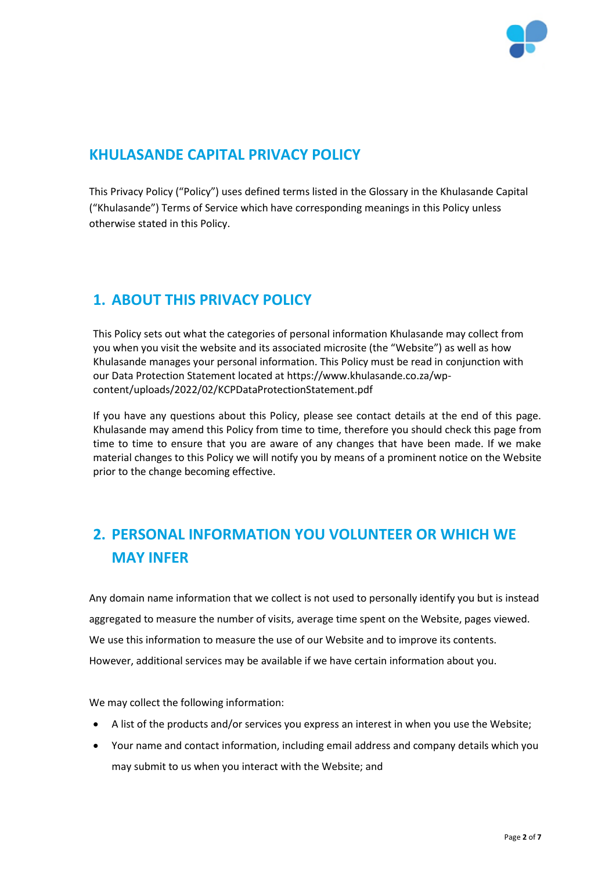

## <span id="page-2-0"></span>**KHULASANDE CAPITAL PRIVACY POLICY**

This Privacy Policy ("Policy") uses defined terms listed in the Glossary in the Khulasande Capital ("Khulasande") Terms of Service which have corresponding meanings in this Policy unless otherwise stated in this Policy.

## <span id="page-2-1"></span>**1. ABOUT THIS PRIVACY POLICY**

This Policy sets out what the categories of personal information Khulasande may collect from you when you visit the website and its associated microsite (the "Website") as well as how Khulasande manages your personal information. This Policy must be read in conjunction with our Data Protection Statement located at https://www.khulasande.co.za/wpcontent/uploads/2022/02/KCPDataProtectionStatement.pdf

If you have any questions about this Policy, please see contact details at the end of this page. Khulasande may amend this Policy from time to time, therefore you should check this page from time to time to ensure that you are aware of any changes that have been made. If we make material changes to this Policy we will notify you by means of a prominent notice on the Website prior to the change becoming effective.

# <span id="page-2-2"></span>**2. PERSONAL INFORMATION YOU VOLUNTEER OR WHICH WE MAY INFER**

Any domain name information that we collect is not used to personally identify you but is instead aggregated to measure the number of visits, average time spent on the Website, pages viewed. We use this information to measure the use of our Website and to improve its contents. However, additional services may be available if we have certain information about you.

We may collect the following information:

- A list of the products and/or services you express an interest in when you use the Website;
- Your name and contact information, including email address and company details which you may submit to us when you interact with the Website; and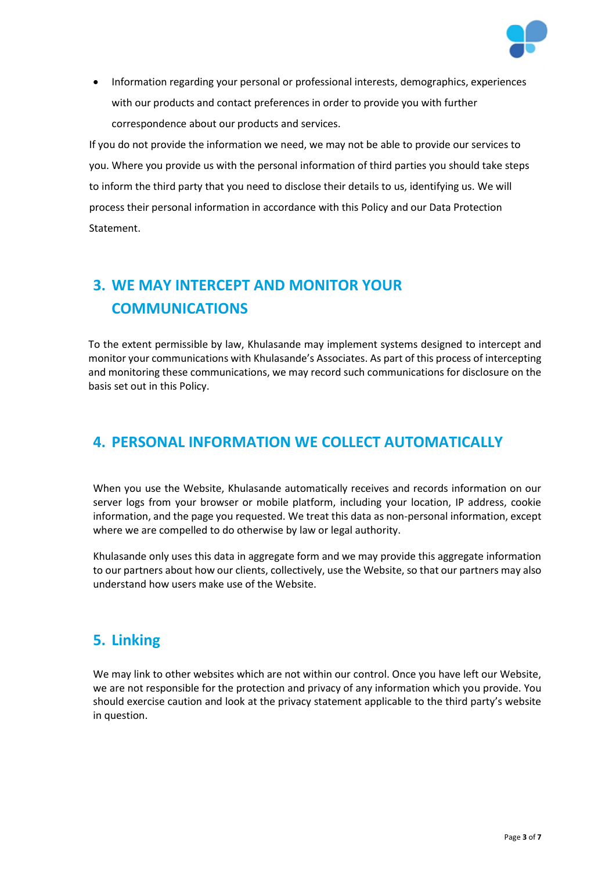

• Information regarding your personal or professional interests, demographics, experiences with our products and contact preferences in order to provide you with further correspondence about our products and services.

If you do not provide the information we need, we may not be able to provide our services to you. Where you provide us with the personal information of third parties you should take steps to inform the third party that you need to disclose their details to us, identifying us. We will process their personal information in accordance with this Policy and our Data Protection Statement.

# <span id="page-3-0"></span>**3. WE MAY INTERCEPT AND MONITOR YOUR COMMUNICATIONS**

To the extent permissible by law, Khulasande may implement systems designed to intercept and monitor your communications with Khulasande's Associates. As part of this process of intercepting and monitoring these communications, we may record such communications for disclosure on the basis set out in this Policy.

## <span id="page-3-1"></span>**4. PERSONAL INFORMATION WE COLLECT AUTOMATICALLY**

When you use the Website, Khulasande automatically receives and records information on our server logs from your browser or mobile platform, including your location, IP address, cookie information, and the page you requested. We treat this data as non-personal information, except where we are compelled to do otherwise by law or legal authority.

Khulasande only uses this data in aggregate form and we may provide this aggregate information to our partners about how our clients, collectively, use the Website, so that our partners may also understand how users make use of the Website.

## <span id="page-3-2"></span>**5. Linking**

We may link to other websites which are not within our control. Once you have left our Website, we are not responsible for the protection and privacy of any information which you provide. You should exercise caution and look at the privacy statement applicable to the third party's website in question.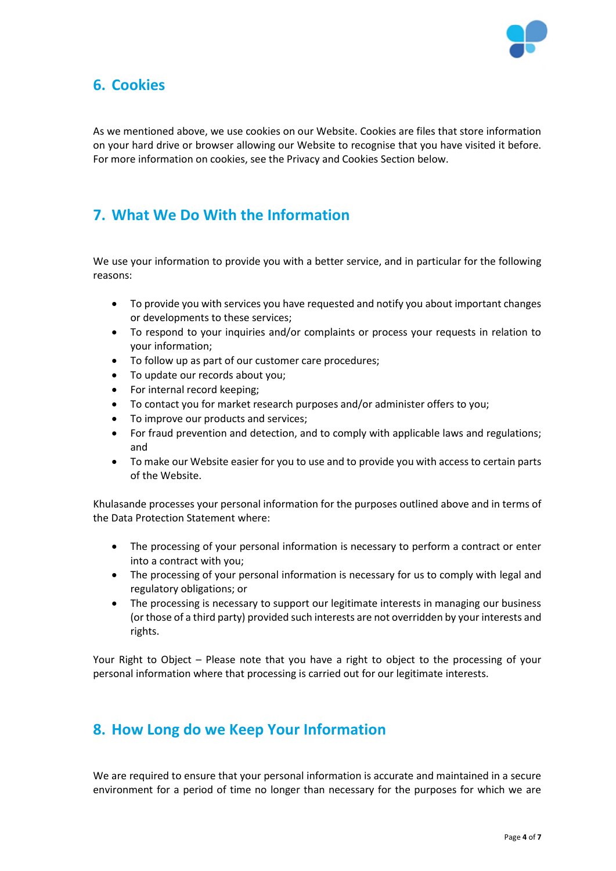

### <span id="page-4-0"></span>**6. Cookies**

As we mentioned above, we use cookies on our Website. Cookies are files that store information on your hard drive or browser allowing our Website to recognise that you have visited it before. For more information on cookies, see the Privacy and Cookies Section below.

### <span id="page-4-1"></span>**7. What We Do With the Information**

We use your information to provide you with a better service, and in particular for the following reasons:

- To provide you with services you have requested and notify you about important changes or developments to these services;
- To respond to your inquiries and/or complaints or process your requests in relation to your information;
- To follow up as part of our customer care procedures;
- To update our records about you;
- For internal record keeping;
- To contact you for market research purposes and/or administer offers to you;
- To improve our products and services;
- For fraud prevention and detection, and to comply with applicable laws and regulations; and
- To make our Website easier for you to use and to provide you with access to certain parts of the Website.

Khulasande processes your personal information for the purposes outlined above and in terms of the Data Protection Statement where:

- The processing of your personal information is necessary to perform a contract or enter into a contract with you;
- The processing of your personal information is necessary for us to comply with legal and regulatory obligations; or
- The processing is necessary to support our legitimate interests in managing our business (or those of a third party) provided such interests are not overridden by your interests and rights.

Your Right to Object – Please note that you have a right to object to the processing of your personal information where that processing is carried out for our legitimate interests.

### <span id="page-4-2"></span>**8. How Long do we Keep Your Information**

We are required to ensure that your personal information is accurate and maintained in a secure environment for a period of time no longer than necessary for the purposes for which we are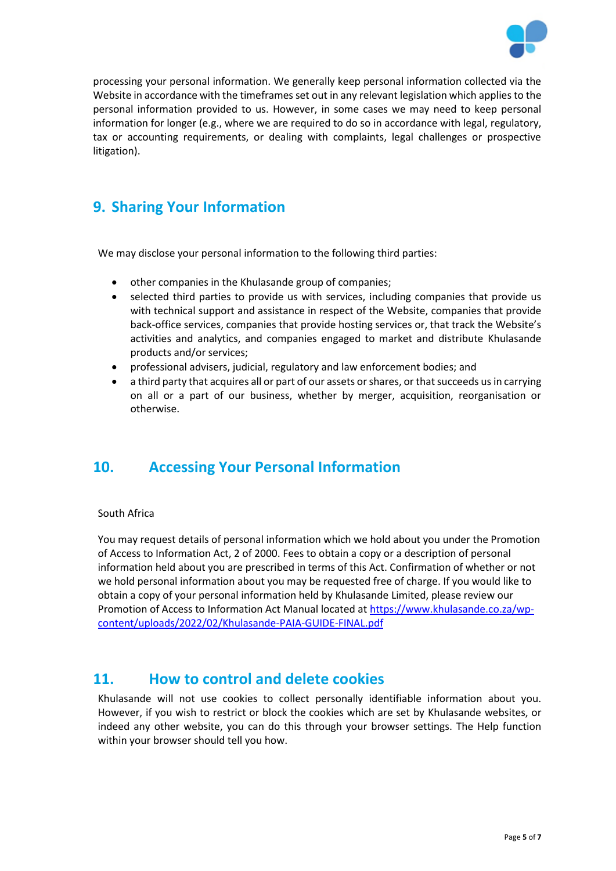

processing your personal information. We generally keep personal information collected via the Website in accordance with the timeframes set out in any relevant legislation which applies to the personal information provided to us. However, in some cases we may need to keep personal information for longer (e.g., where we are required to do so in accordance with legal, regulatory, tax or accounting requirements, or dealing with complaints, legal challenges or prospective litigation).

## <span id="page-5-0"></span>**9. Sharing Your Information**

We may disclose your personal information to the following third parties:

- other companies in the Khulasande group of companies;
- selected third parties to provide us with services, including companies that provide us with technical support and assistance in respect of the Website, companies that provide back-office services, companies that provide hosting services or, that track the Website's activities and analytics, and companies engaged to market and distribute Khulasande products and/or services;
- professional advisers, judicial, regulatory and law enforcement bodies; and
- a third party that acquires all or part of our assets or shares, or that succeeds us in carrying on all or a part of our business, whether by merger, acquisition, reorganisation or otherwise.

## <span id="page-5-1"></span>**10. Accessing Your Personal Information**

#### South Africa

You may request details of personal information which we hold about you under the Promotion of Access to Information Act, 2 of 2000. Fees to obtain a copy or a description of personal information held about you are prescribed in terms of this Act. Confirmation of whether or not we hold personal information about you may be requested free of charge. If you would like to obtain a copy of your personal information held by Khulasande Limited, please review our Promotion of Access to Information Act Manual located at [https://www.khulasande.co.za/wp](https://www.khulasande.co.za/wp-content/uploads/2022/02/Khulasande-PAIA-GUIDE-FINAL.pdf)[content/uploads/2022/02/Khulasande-PAIA-GUIDE-FINAL.pdf](https://www.khulasande.co.za/wp-content/uploads/2022/02/Khulasande-PAIA-GUIDE-FINAL.pdf)

### <span id="page-5-2"></span>**11. How to control and delete cookies**

Khulasande will not use cookies to collect personally identifiable information about you. However, if you wish to restrict or block the cookies which are set by Khulasande websites, or indeed any other website, you can do this through your browser settings. The Help function within your browser should tell you how.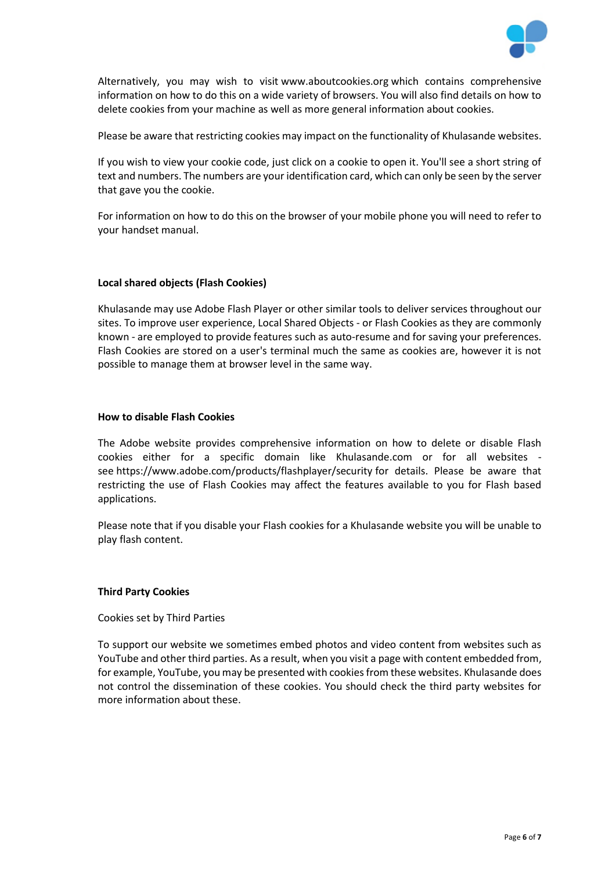

Alternatively, you may wish to visit [www.aboutcookies.org](http://www.aboutcookies.org/) which contains comprehensive information on how to do this on a wide variety of browsers. You will also find details on how to delete cookies from your machine as well as more general information about cookies.

Please be aware that restricting cookies may impact on the functionality of Khulasande websites.

If you wish to view your cookie code, just click on a cookie to open it. You'll see a short string of text and numbers. The numbers are your identification card, which can only be seen by the server that gave you the cookie.

For information on how to do this on the browser of your mobile phone you will need to refer to your handset manual.

#### **Local shared objects (Flash Cookies)**

Khulasande may use Adobe Flash Player or other similar tools to deliver services throughout our sites. To improve user experience, Local Shared Objects - or Flash Cookies as they are commonly known - are employed to provide features such as auto-resume and for saving your preferences. Flash Cookies are stored on a user's terminal much the same as cookies are, however it is not possible to manage them at browser level in the same way.

#### **How to disable Flash Cookies**

The Adobe website provides comprehensive information on how to delete or disable Flash cookies either for a specific domain like Khulasande.com or for all websites see <https://www.adobe.com/products/flashplayer/security> for details. Please be aware that restricting the use of Flash Cookies may affect the features available to you for Flash based applications.

Please note that if you disable your Flash cookies for a Khulasande website you will be unable to play flash content.

#### **Third Party Cookies**

Cookies set by Third Parties

To support our website we sometimes embed photos and video content from websites such as YouTube and other third parties. As a result, when you visit a page with content embedded from, for example, YouTube, you may be presented with cookies from these websites. Khulasande does not control the dissemination of these cookies. You should check the third party websites for more information about these.